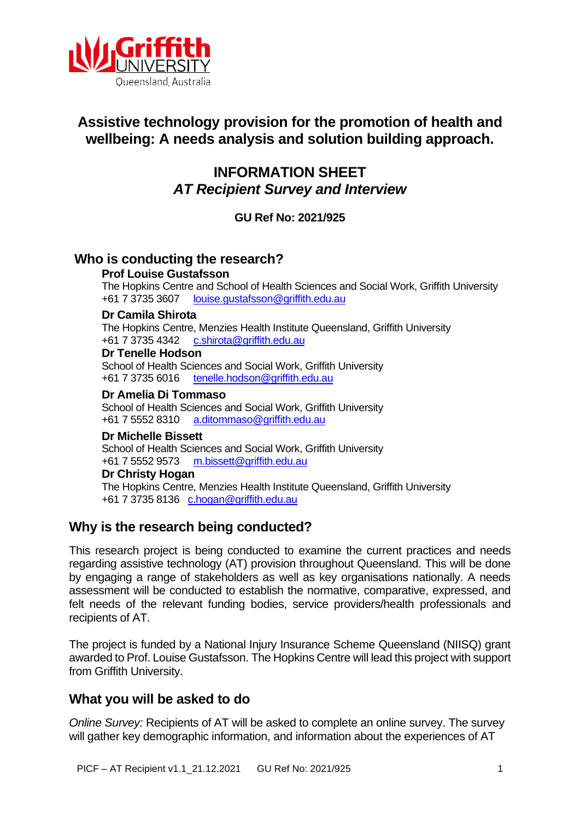

# **Assistive technology provision for the promotion of health and wellbeing: A needs analysis and solution building approach.**

# **INFORMATION SHEET** *AT Recipient Survey and Interview*

**GU Ref No: 2021/925**

# **Who is conducting the research?**

#### **Prof Louise Gustafsson**

The Hopkins Centre and School of Health Sciences and Social Work, Griffith University<br>+61 7 3735 3607 louise.qustafsson@griffith.edu.au [louise.gustafsson@griffith.edu.au](mailto:louise.gustafsson@griffith.edu.au)

#### **Dr Camila Shirota**

The Hopkins Centre, Menzies Health Institute Queensland, Griffith University +61 7 3735 4342 [c.shirota@griffith.edu.au](mailto:c.shirota@griffith.edu.au)

#### **Dr Tenelle Hodson**

School of Health Sciences and Social Work, Griffith University +61 7 3735 6016 [tenelle.hodson@griffith.edu.au](mailto:tenelle.hodson@griffith.edu.au)

#### **Dr Amelia Di Tommaso**

School of Health Sciences and Social Work, Griffith University +61 7 5552 8310 [a.ditommaso@griffith.edu.au](mailto:a.ditommaso@griffith.edu.au)

#### **Dr Michelle Bissett**

School of Health Sciences and Social Work, Griffith University +61 7 5552 9573 [m.bissett@griffith.edu.au](mailto:m.bissett@griffith.edu.au) 

**Dr Christy Hogan** The Hopkins Centre, Menzies Health Institute Queensland, Griffith University +61 7 3735 8136 [c.hogan@griffith.edu.au](mailto:c.hogan@griffith.edu.au)

# **Why is the research being conducted?**

This research project is being conducted to examine the current practices and needs regarding assistive technology (AT) provision throughout Queensland. This will be done by engaging a range of stakeholders as well as key organisations nationally. A needs assessment will be conducted to establish the normative, comparative, expressed, and felt needs of the relevant funding bodies, service providers/health professionals and recipients of AT.

The project is funded by a National Injury Insurance Scheme Queensland (NIISQ) grant awarded to Prof. Louise Gustafsson. The Hopkins Centre will lead this project with support from Griffith University.

### **What you will be asked to do**

*Online Survey:* Recipients of AT will be asked to complete an online survey. The survey will gather key demographic information, and information about the experiences of AT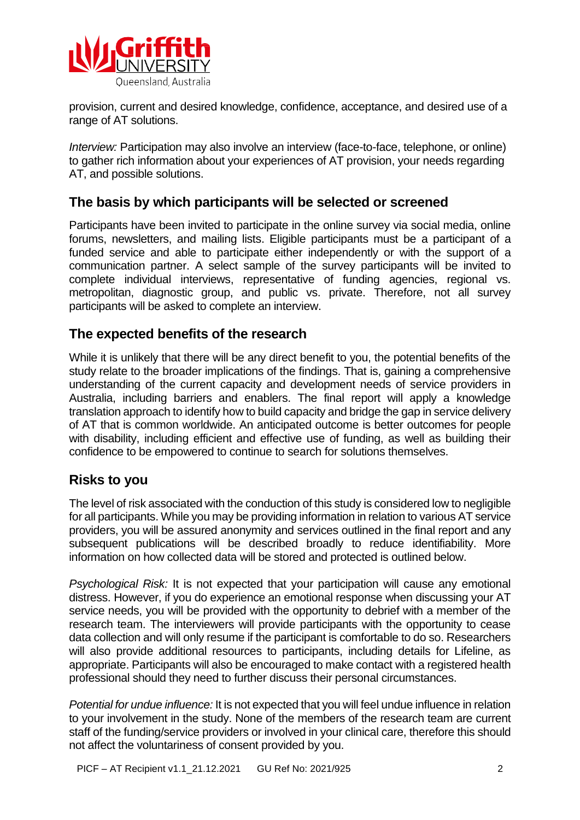

provision, current and desired knowledge, confidence, acceptance, and desired use of a range of AT solutions.

*Interview: Participation may also involve an interview (face-to-face, telephone, or online)* to gather rich information about your experiences of AT provision, your needs regarding AT, and possible solutions.

### **The basis by which participants will be selected or screened**

Participants have been invited to participate in the online survey via social media, online forums, newsletters, and mailing lists. Eligible participants must be a participant of a funded service and able to participate either independently or with the support of a communication partner. A select sample of the survey participants will be invited to complete individual interviews, representative of funding agencies, regional vs. metropolitan, diagnostic group, and public vs. private. Therefore, not all survey participants will be asked to complete an interview.

### **The expected benefits of the research**

While it is unlikely that there will be any direct benefit to you, the potential benefits of the study relate to the broader implications of the findings. That is, gaining a comprehensive understanding of the current capacity and development needs of service providers in Australia, including barriers and enablers. The final report will apply a knowledge translation approach to identify how to build capacity and bridge the gap in service delivery of AT that is common worldwide. An anticipated outcome is better outcomes for people with disability, including efficient and effective use of funding, as well as building their confidence to be empowered to continue to search for solutions themselves.

# **Risks to you**

The level of risk associated with the conduction of this study is considered low to negligible for all participants. While you may be providing information in relation to various AT service providers, you will be assured anonymity and services outlined in the final report and any subsequent publications will be described broadly to reduce identifiability. More information on how collected data will be stored and protected is outlined below.

*Psychological Risk:* It is not expected that your participation will cause any emotional distress. However, if you do experience an emotional response when discussing your AT service needs, you will be provided with the opportunity to debrief with a member of the research team. The interviewers will provide participants with the opportunity to cease data collection and will only resume if the participant is comfortable to do so. Researchers will also provide additional resources to participants, including details for Lifeline, as appropriate. Participants will also be encouraged to make contact with a registered health professional should they need to further discuss their personal circumstances.

*Potential for undue influence:* It is not expected that you will feel undue influence in relation to your involvement in the study. None of the members of the research team are current staff of the funding/service providers or involved in your clinical care, therefore this should not affect the voluntariness of consent provided by you.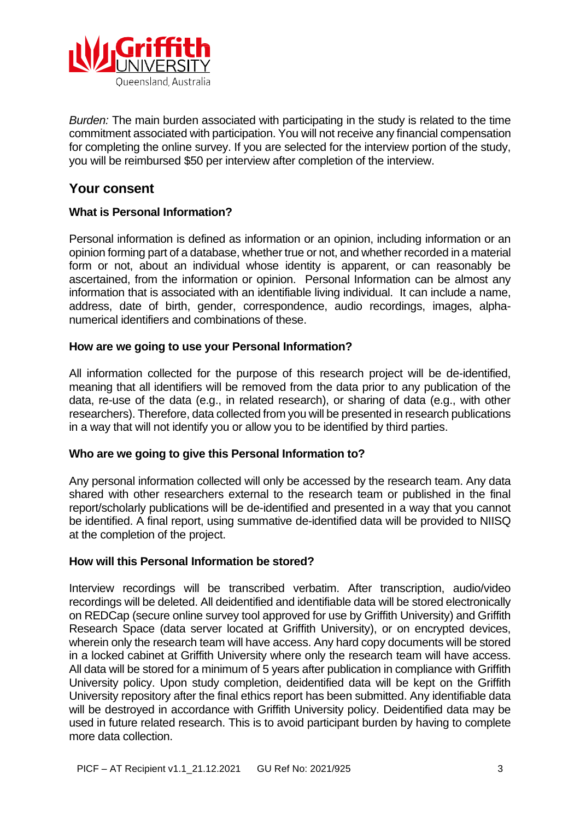

*Burden:* The main burden associated with participating in the study is related to the time commitment associated with participation. You will not receive any financial compensation for completing the online survey. If you are selected for the interview portion of the study, you will be reimbursed \$50 per interview after completion of the interview.

# **Your consent**

#### **What is Personal Information?**

Personal information is defined as information or an opinion, including information or an opinion forming part of a database, whether true or not, and whether recorded in a material form or not, about an individual whose identity is apparent, or can reasonably be ascertained, from the information or opinion. Personal Information can be almost any information that is associated with an identifiable living individual. It can include a name, address, date of birth, gender, correspondence, audio recordings, images, alphanumerical identifiers and combinations of these.

#### **How are we going to use your Personal Information?**

All information collected for the purpose of this research project will be de-identified, meaning that all identifiers will be removed from the data prior to any publication of the data, re-use of the data (e.g., in related research), or sharing of data (e.g., with other researchers). Therefore, data collected from you will be presented in research publications in a way that will not identify you or allow you to be identified by third parties.

#### **Who are we going to give this Personal Information to?**

Any personal information collected will only be accessed by the research team. Any data shared with other researchers external to the research team or published in the final report/scholarly publications will be de-identified and presented in a way that you cannot be identified. A final report, using summative de-identified data will be provided to NIISQ at the completion of the project.

#### **How will this Personal Information be stored?**

Interview recordings will be transcribed verbatim. After transcription, audio/video recordings will be deleted. All deidentified and identifiable data will be stored electronically on REDCap (secure online survey tool approved for use by Griffith University) and Griffith Research Space (data server located at Griffith University), or on encrypted devices, wherein only the research team will have access. Any hard copy documents will be stored in a locked cabinet at Griffith University where only the research team will have access. All data will be stored for a minimum of 5 years after publication in compliance with Griffith University policy. Upon study completion, deidentified data will be kept on the Griffith University repository after the final ethics report has been submitted. Any identifiable data will be destroyed in accordance with Griffith University policy. Deidentified data may be used in future related research. This is to avoid participant burden by having to complete more data collection.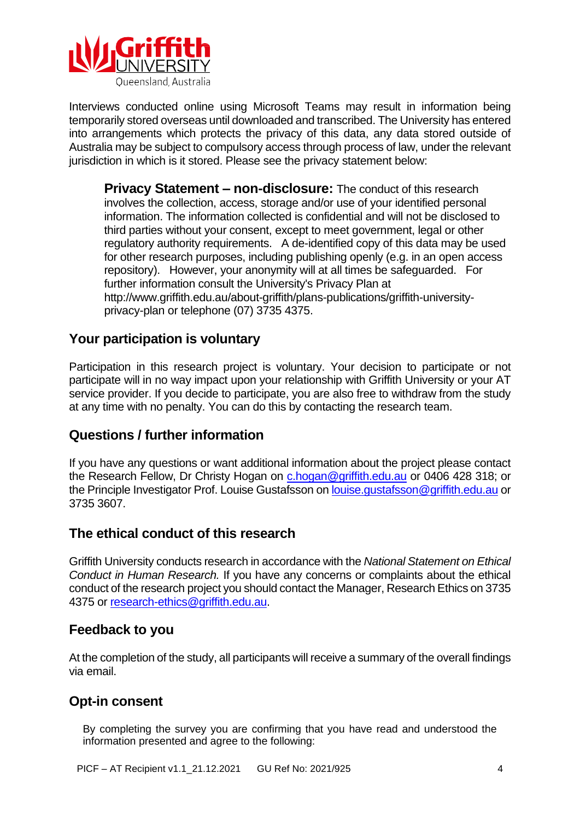

Interviews conducted online using Microsoft Teams may result in information being temporarily stored overseas until downloaded and transcribed. The University has entered into arrangements which protects the privacy of this data, any data stored outside of Australia may be subject to compulsory access through process of law, under the relevant jurisdiction in which is it stored. Please see the privacy statement below:

**Privacy Statement – non-disclosure:** The conduct of this research involves the collection, access, storage and/or use of your identified personal information. The information collected is confidential and will not be disclosed to third parties without your consent, except to meet government, legal or other regulatory authority requirements. A de-identified copy of this data may be used for other research purposes, including publishing openly (e.g. in an open access repository). However, your anonymity will at all times be safeguarded. For further information consult the University's Privacy Plan at http://www.griffith.edu.au/about-griffith/plans-publications/griffith-universityprivacy-plan or telephone (07) 3735 4375.

# **Your participation is voluntary**

Participation in this research project is voluntary. Your decision to participate or not participate will in no way impact upon your relationship with Griffith University or your AT service provider. If you decide to participate, you are also free to withdraw from the study at any time with no penalty. You can do this by contacting the research team.

# **Questions / further information**

If you have any questions or want additional information about the project please contact the Research Fellow, Dr Christy Hogan on [c.hogan@griffith.edu.au](mailto:c.hogan@griffith.edu.au) or 0406 428 318; or the Principle Investigator Prof. Louise Gustafsson on louise.qustafsson@griffith.edu.au or 3735 3607.

# **The ethical conduct of this research**

Griffith University conducts research in accordance with the *National Statement on Ethical Conduct in Human Research.* If you have any concerns or complaints about the ethical conduct of the research project you should contact the Manager, Research Ethics on 3735 4375 or [research-ethics@griffith.edu.au.](mailto:research-ethics@griffith.edu.au)

# **Feedback to you**

At the completion of the study, all participants will receive a summary of the overall findings via email.

### **Opt-in consent**

By completing the survey you are confirming that you have read and understood the information presented and agree to the following: